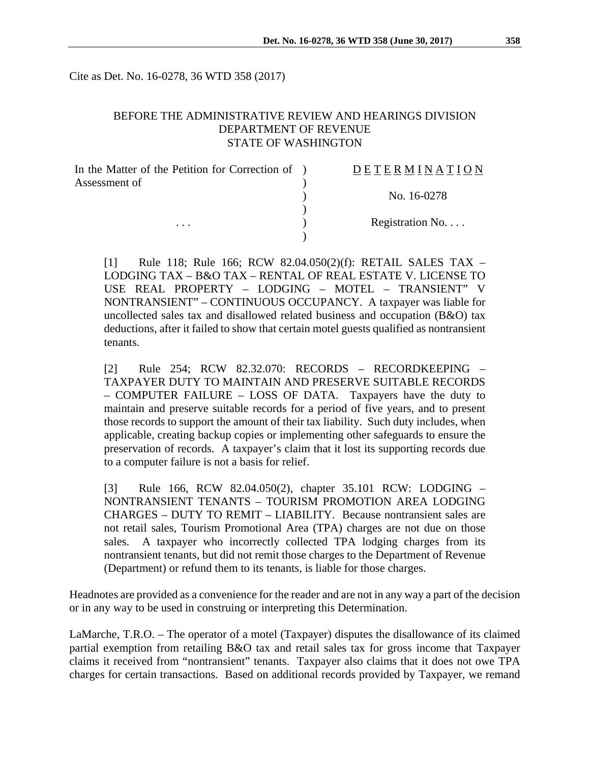Cite as Det. No. 16-0278, 36 WTD 358 (2017)

## BEFORE THE ADMINISTRATIVE REVIEW AND HEARINGS DIVISION DEPARTMENT OF REVENUE STATE OF WASHINGTON

| In the Matter of the Petition for Correction of ) | <b>DETERMINATION</b> |
|---------------------------------------------------|----------------------|
| Assessment of                                     |                      |
|                                                   | No. 16-0278          |
|                                                   |                      |
| $\cdots$                                          | Registration No      |
|                                                   |                      |

[1] Rule 118; Rule 166; RCW 82.04.050(2)(f): RETAIL SALES TAX – LODGING TAX – B&O TAX – RENTAL OF REAL ESTATE V. LICENSE TO USE REAL PROPERTY – LODGING – MOTEL – TRANSIENT" V NONTRANSIENT" – CONTINUOUS OCCUPANCY. A taxpayer was liable for uncollected sales tax and disallowed related business and occupation (B&O) tax deductions, after it failed to show that certain motel guests qualified as nontransient tenants.

[2] Rule 254; RCW 82.32.070: RECORDS – RECORDKEEPING – TAXPAYER DUTY TO MAINTAIN AND PRESERVE SUITABLE RECORDS – COMPUTER FAILURE – LOSS OF DATA. Taxpayers have the duty to maintain and preserve suitable records for a period of five years, and to present those records to support the amount of their tax liability. Such duty includes, when applicable, creating backup copies or implementing other safeguards to ensure the preservation of records. A taxpayer's claim that it lost its supporting records due to a computer failure is not a basis for relief.

[3] Rule 166, RCW 82.04.050(2), chapter 35.101 RCW: LODGING – NONTRANSIENT TENANTS – TOURISM PROMOTION AREA LODGING CHARGES – DUTY TO REMIT – LIABILITY. Because nontransient sales are not retail sales, Tourism Promotional Area (TPA) charges are not due on those sales. A taxpayer who incorrectly collected TPA lodging charges from its nontransient tenants, but did not remit those charges to the Department of Revenue (Department) or refund them to its tenants, is liable for those charges.

Headnotes are provided as a convenience for the reader and are not in any way a part of the decision or in any way to be used in construing or interpreting this Determination.

LaMarche, T.R.O. – The operator of a motel (Taxpayer) disputes the disallowance of its claimed partial exemption from retailing B&O tax and retail sales tax for gross income that Taxpayer claims it received from "nontransient" tenants. Taxpayer also claims that it does not owe TPA charges for certain transactions. Based on additional records provided by Taxpayer, we remand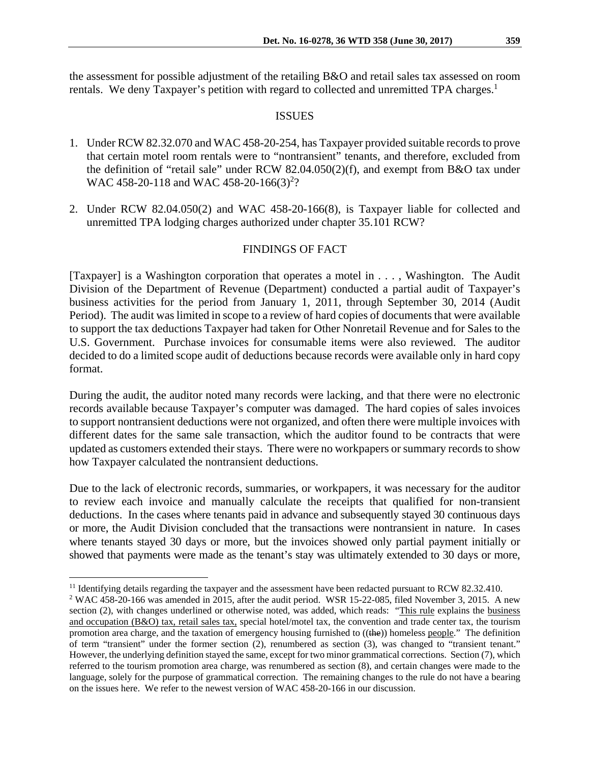the assessment for possible adjustment of the retailing B&O and retail sales tax assessed on room rentals. We deny Taxpayer's petition with regard to collected and unremitted TPA charges.<sup>1</sup>

#### ISSUES

- 1. Under RCW 82.32.070 and WAC 458-20-254, has Taxpayer provided suitable records to prove that certain motel room rentals were to "nontransient" tenants, and therefore, excluded from the definition of "retail sale" under RCW 82.04.050(2)(f), and exempt from B&O tax under WAC 458-20-118 and WAC 458-20-166(3)<sup>2</sup>?
- 2. Under RCW 82.04.050(2) and WAC 458-20-166(8), is Taxpayer liable for collected and unremitted TPA lodging charges authorized under chapter 35.101 RCW?

## FINDINGS OF FACT

[Taxpayer] is a Washington corporation that operates a motel in . . . , Washington. The Audit Division of the Department of Revenue (Department) conducted a partial audit of Taxpayer's business activities for the period from January 1, 2011, through September 30, 2014 (Audit Period). The audit was limited in scope to a review of hard copies of documents that were available to support the tax deductions Taxpayer had taken for Other Nonretail Revenue and for Sales to the U.S. Government. Purchase invoices for consumable items were also reviewed. The auditor decided to do a limited scope audit of deductions because records were available only in hard copy format.

During the audit, the auditor noted many records were lacking, and that there were no electronic records available because Taxpayer's computer was damaged. The hard copies of sales invoices to support nontransient deductions were not organized, and often there were multiple invoices with different dates for the same sale transaction, which the auditor found to be contracts that were updated as customers extended their stays. There were no workpapers or summary records to show how Taxpayer calculated the nontransient deductions.

Due to the lack of electronic records, summaries, or workpapers, it was necessary for the auditor to review each invoice and manually calculate the receipts that qualified for non-transient deductions. In the cases where tenants paid in advance and subsequently stayed 30 continuous days or more, the Audit Division concluded that the transactions were nontransient in nature. In cases where tenants stayed 30 days or more, but the invoices showed only partial payment initially or showed that payments were made as the tenant's stay was ultimately extended to 30 days or more,

 $\overline{a}$ 

<sup>&</sup>lt;sup>11</sup> Identifying details regarding the taxpayer and the assessment have been redacted pursuant to RCW 82.32.410.

<sup>&</sup>lt;sup>2</sup> WAC 458-20-166 was amended in 2015, after the audit period. WSR 15-22-085, filed November 3, 2015. A new section (2), with changes underlined or otherwise noted, was added, which reads: "This rule explains the business and occupation (B&O) tax, retail sales tax, special hotel/motel tax, the convention and trade center tax, the tourism promotion area charge, and the taxation of emergency housing furnished to ((the)) homeless people." The definition of term "transient" under the former section (2), renumbered as section (3), was changed to "transient tenant." However, the underlying definition stayed the same, except for two minor grammatical corrections. Section (7), which referred to the tourism promotion area charge, was renumbered as section (8), and certain changes were made to the language, solely for the purpose of grammatical correction. The remaining changes to the rule do not have a bearing on the issues here. We refer to the newest version of WAC 458-20-166 in our discussion.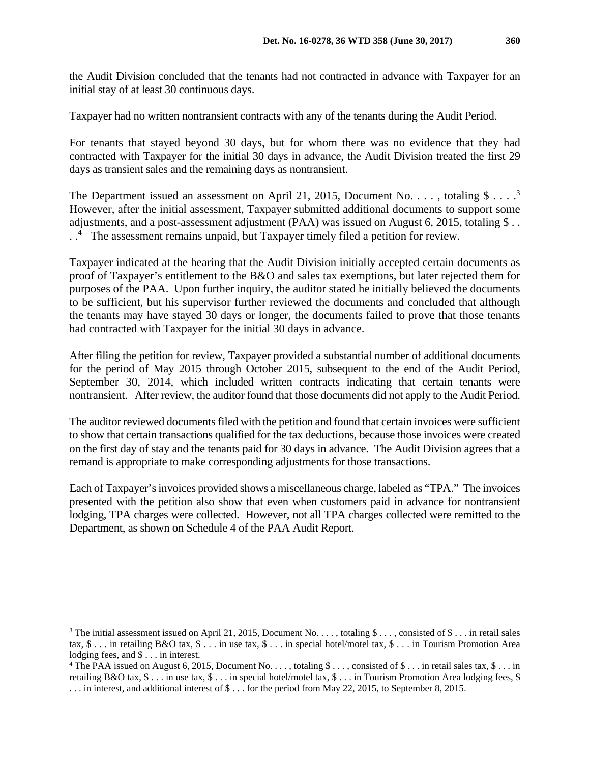the Audit Division concluded that the tenants had not contracted in advance with Taxpayer for an initial stay of at least 30 continuous days.

Taxpayer had no written nontransient contracts with any of the tenants during the Audit Period.

For tenants that stayed beyond 30 days, but for whom there was no evidence that they had contracted with Taxpayer for the initial 30 days in advance, the Audit Division treated the first 29 days as transient sales and the remaining days as nontransient.

The Department issued an assessment on April 21, 2015, Document No. . . . , totaling  $\$\ldots$ <sup>3</sup> However, after the initial assessment, Taxpayer submitted additional documents to support some adjustments, and a post-assessment adjustment (PAA) was issued on August 6, 2015, totaling \$... . .4 The assessment remains unpaid, but Taxpayer timely filed a petition for review.

Taxpayer indicated at the hearing that the Audit Division initially accepted certain documents as proof of Taxpayer's entitlement to the B&O and sales tax exemptions, but later rejected them for purposes of the PAA. Upon further inquiry, the auditor stated he initially believed the documents to be sufficient, but his supervisor further reviewed the documents and concluded that although the tenants may have stayed 30 days or longer, the documents failed to prove that those tenants had contracted with Taxpayer for the initial 30 days in advance.

After filing the petition for review, Taxpayer provided a substantial number of additional documents for the period of May 2015 through October 2015, subsequent to the end of the Audit Period, September 30, 2014, which included written contracts indicating that certain tenants were nontransient. After review, the auditor found that those documents did not apply to the Audit Period.

The auditor reviewed documents filed with the petition and found that certain invoices were sufficient to show that certain transactions qualified for the tax deductions, because those invoices were created on the first day of stay and the tenants paid for 30 days in advance. The Audit Division agrees that a remand is appropriate to make corresponding adjustments for those transactions.

Each of Taxpayer's invoices provided shows a miscellaneous charge, labeled as "TPA." The invoices presented with the petition also show that even when customers paid in advance for nontransient lodging, TPA charges were collected. However, not all TPA charges collected were remitted to the Department, as shown on Schedule 4 of the PAA Audit Report.

<u>.</u>

<sup>&</sup>lt;sup>3</sup> The initial assessment issued on April 21, 2015, Document No. . . . , totaling  $\frac{1}{2}$  . . . , consisted of  $\frac{1}{2}$  . . . in retail sales tax, \$ . . . in retailing B&O tax, \$ . . . in use tax, \$ . . . in special hotel/motel tax, \$ . . . in Tourism Promotion Area lodging fees, and \$ . . . in interest.

<sup>&</sup>lt;sup>4</sup> The PAA issued on August 6, 2015, Document No. . . . , totaling \$ . . . , consisted of \$ . . . in retail sales tax, \$ . . . in retailing B&O tax, \$ . . . in use tax, \$ . . . in special hotel/motel tax, \$ . . . in Tourism Promotion Area lodging fees, \$ . . . in interest, and additional interest of \$ . . . for the period from May 22, 2015, to September 8, 2015.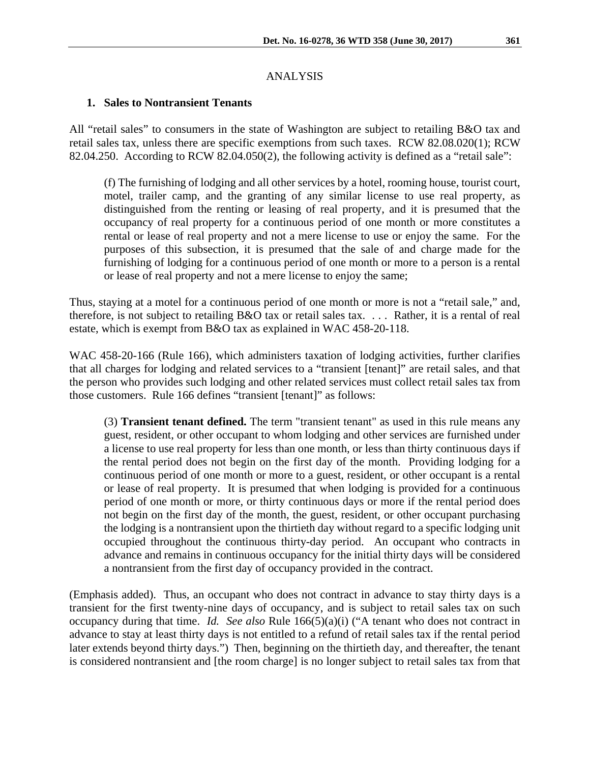### ANALYSIS

#### **1. Sales to Nontransient Tenants**

All "retail sales" to consumers in the state of Washington are subject to retailing B&O tax and retail sales tax, unless there are specific exemptions from such taxes. RCW 82.08.020(1); RCW 82.04.250. According to RCW 82.04.050(2), the following activity is defined as a "retail sale":

(f) The furnishing of lodging and all other services by a hotel, rooming house, tourist court, motel, trailer camp, and the granting of any similar license to use real property, as distinguished from the renting or leasing of real property, and it is presumed that the occupancy of real property for a continuous period of one month or more constitutes a rental or lease of real property and not a mere license to use or enjoy the same. For the purposes of this subsection, it is presumed that the sale of and charge made for the furnishing of lodging for a continuous period of one month or more to a person is a rental or lease of real property and not a mere license to enjoy the same;

Thus, staying at a motel for a continuous period of one month or more is not a "retail sale," and, therefore, is not subject to retailing B&O tax or retail sales tax. . . . Rather, it is a rental of real estate, which is exempt from B&O tax as explained in WAC 458-20-118.

WAC 458-20-166 (Rule 166), which administers taxation of lodging activities, further clarifies that all charges for lodging and related services to a "transient [tenant]" are retail sales, and that the person who provides such lodging and other related services must collect retail sales tax from those customers. Rule 166 defines "transient [tenant]" as follows:

(3) **Transient tenant defined.** The term "transient tenant" as used in this rule means any guest, resident, or other occupant to whom lodging and other services are furnished under a license to use real property for less than one month, or less than thirty continuous days if the rental period does not begin on the first day of the month. Providing lodging for a continuous period of one month or more to a guest, resident, or other occupant is a rental or lease of real property. It is presumed that when lodging is provided for a continuous period of one month or more, or thirty continuous days or more if the rental period does not begin on the first day of the month, the guest, resident, or other occupant purchasing the lodging is a nontransient upon the thirtieth day without regard to a specific lodging unit occupied throughout the continuous thirty-day period. An occupant who contracts in advance and remains in continuous occupancy for the initial thirty days will be considered a nontransient from the first day of occupancy provided in the contract.

(Emphasis added). Thus, an occupant who does not contract in advance to stay thirty days is a transient for the first twenty-nine days of occupancy, and is subject to retail sales tax on such occupancy during that time. *Id. See also* Rule 166(5)(a)(i) ("A tenant who does not contract in advance to stay at least thirty days is not entitled to a refund of retail sales tax if the rental period later extends beyond thirty days.") Then, beginning on the thirtieth day, and thereafter, the tenant is considered nontransient and [the room charge] is no longer subject to retail sales tax from that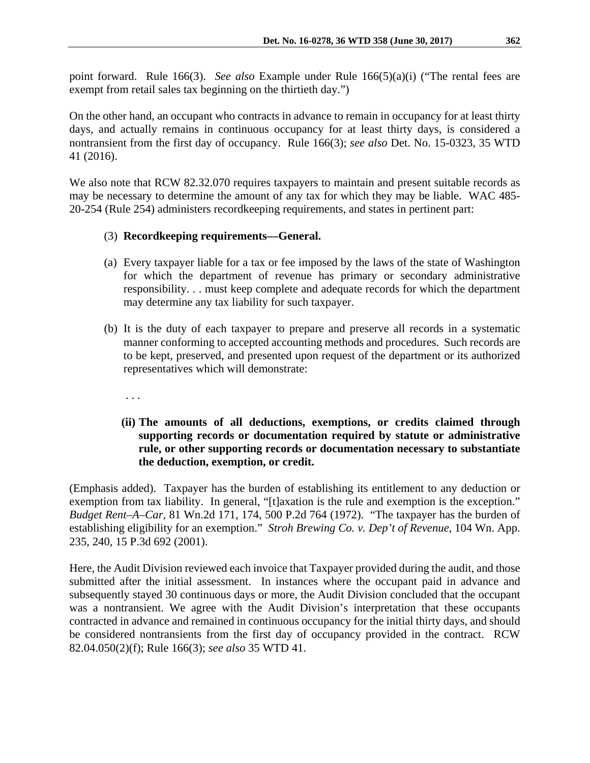point forward. Rule 166(3). *See also* Example under Rule 166(5)(a)(i) ("The rental fees are exempt from retail sales tax beginning on the thirtieth day.")

On the other hand, an occupant who contracts in advance to remain in occupancy for at least thirty days, and actually remains in continuous occupancy for at least thirty days, is considered a nontransient from the first day of occupancy. Rule 166(3); *see also* Det. No. 15-0323, 35 WTD 41 (2016).

We also note that RCW 82.32.070 requires taxpayers to maintain and present suitable records as may be necessary to determine the amount of any tax for which they may be liable. WAC 485- 20-254 (Rule 254) administers recordkeeping requirements, and states in pertinent part:

## (3) **Recordkeeping requirements—General.**

- (a) Every taxpayer liable for a tax or fee imposed by the laws of the state of Washington for which the department of revenue has primary or secondary administrative responsibility. . . must keep complete and adequate records for which the department may determine any tax liability for such taxpayer.
- (b) It is the duty of each taxpayer to prepare and preserve all records in a systematic manner conforming to accepted accounting methods and procedures. Such records are to be kept, preserved, and presented upon request of the department or its authorized representatives which will demonstrate:
	- . . .
	- **(ii) The amounts of all deductions, exemptions, or credits claimed through supporting records or documentation required by statute or administrative rule, or other supporting records or documentation necessary to substantiate the deduction, exemption, or credit.**

(Emphasis added). Taxpayer has the burden of establishing its entitlement to any deduction or exemption from tax liability. In general, "[t]axation is the rule and exemption is the exception." *Budget Rent–A–Car,* 81 Wn.2d 171, 174, 500 P.2d 764 (1972). "The taxpayer has the burden of establishing eligibility for an exemption." *Stroh Brewing Co. v. Dep't of Revenue*, 104 Wn. App. 235, 240, 15 P.3d 692 (2001).

Here, the Audit Division reviewed each invoice that Taxpayer provided during the audit, and those submitted after the initial assessment. In instances where the occupant paid in advance and subsequently stayed 30 continuous days or more, the Audit Division concluded that the occupant was a nontransient. We agree with the Audit Division's interpretation that these occupants contracted in advance and remained in continuous occupancy for the initial thirty days, and should be considered nontransients from the first day of occupancy provided in the contract. RCW 82.04.050(2)(f); Rule 166(3); *see also* 35 WTD 41.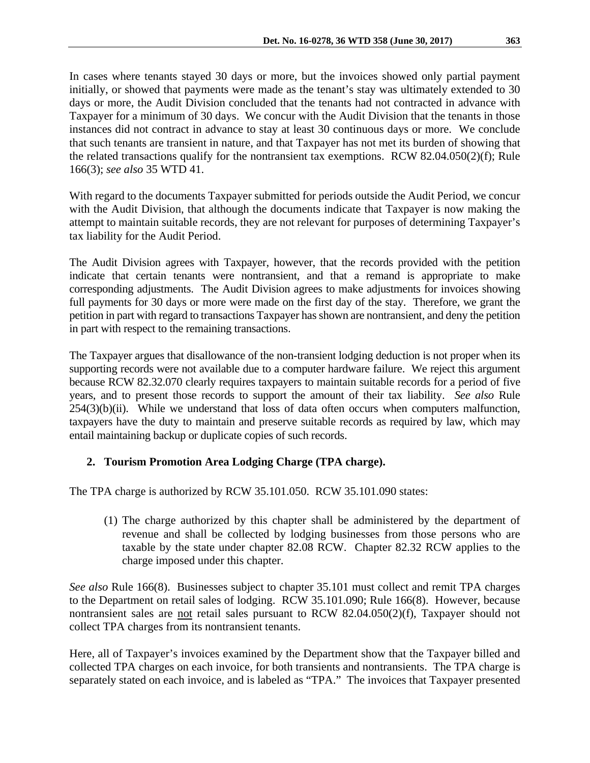In cases where tenants stayed 30 days or more, but the invoices showed only partial payment initially, or showed that payments were made as the tenant's stay was ultimately extended to 30 days or more, the Audit Division concluded that the tenants had not contracted in advance with Taxpayer for a minimum of 30 days. We concur with the Audit Division that the tenants in those instances did not contract in advance to stay at least 30 continuous days or more. We conclude that such tenants are transient in nature, and that Taxpayer has not met its burden of showing that the related transactions qualify for the nontransient tax exemptions. RCW 82.04.050(2)(f); Rule 166(3); *see also* 35 WTD 41.

With regard to the documents Taxpayer submitted for periods outside the Audit Period, we concur with the Audit Division, that although the documents indicate that Taxpayer is now making the attempt to maintain suitable records, they are not relevant for purposes of determining Taxpayer's tax liability for the Audit Period.

The Audit Division agrees with Taxpayer, however, that the records provided with the petition indicate that certain tenants were nontransient, and that a remand is appropriate to make corresponding adjustments. The Audit Division agrees to make adjustments for invoices showing full payments for 30 days or more were made on the first day of the stay. Therefore, we grant the petition in part with regard to transactions Taxpayer has shown are nontransient, and deny the petition in part with respect to the remaining transactions.

The Taxpayer argues that disallowance of the non-transient lodging deduction is not proper when its supporting records were not available due to a computer hardware failure. We reject this argument because RCW 82.32.070 clearly requires taxpayers to maintain suitable records for a period of five years, and to present those records to support the amount of their tax liability. *See also* Rule  $254(3)(b)(ii)$ . While we understand that loss of data often occurs when computers malfunction, taxpayers have the duty to maintain and preserve suitable records as required by law, which may entail maintaining backup or duplicate copies of such records.

# **2. Tourism Promotion Area Lodging Charge (TPA charge).**

The TPA charge is authorized by RCW 35.101.050. RCW 35.101.090 states:

(1) The charge authorized by this chapter shall be administered by the department of revenue and shall be collected by lodging businesses from those persons who are taxable by the state under chapter 82.08 RCW. Chapter 82.32 RCW applies to the charge imposed under this chapter.

*See also* Rule 166(8). Businesses subject to chapter 35.101 must collect and remit TPA charges to the Department on retail sales of lodging. RCW 35.101.090; Rule 166(8). However, because nontransient sales are not retail sales pursuant to RCW 82.04.050(2)(f), Taxpayer should not collect TPA charges from its nontransient tenants.

Here, all of Taxpayer's invoices examined by the Department show that the Taxpayer billed and collected TPA charges on each invoice, for both transients and nontransients. The TPA charge is separately stated on each invoice, and is labeled as "TPA." The invoices that Taxpayer presented